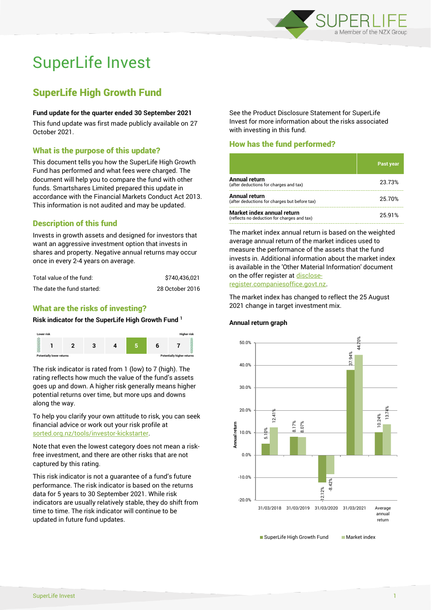

# SuperLife Invest

# SuperLife High Growth Fund

#### **Fund update for the quarter ended 30 September 2021**

This fund update was first made publicly available on 27 October 2021.

# What is the purpose of this update?

This document tells you how the SuperLife High Growth Fund has performed and what fees were charged. The document will help you to compare the fund with other funds. Smartshares Limited prepared this update in accordance with the Financial Markets Conduct Act 2013. This information is not audited and may be updated.

# Description of this fund

Invests in growth assets and designed for investors that want an aggressive investment option that invests in shares and property. Negative annual returns may occur once in every 2-4 years on average.

| Total value of the fund:   | \$740.436.021   |  |  |
|----------------------------|-----------------|--|--|
| The date the fund started: | 28 October 2016 |  |  |

# What are the risks of investing?

#### **Risk indicator for the SuperLife High Growth Fund <sup>1</sup>**



The risk indicator is rated from 1 (low) to 7 (high). The rating reflects how much the value of the fund's assets goes up and down. A higher risk generally means higher potential returns over time, but more ups and downs along the way.

To help you clarify your own attitude to risk, you can seek financial advice or work out your risk profile at [sorted.org.nz/tools/investor-kickstarter.](http://www.sorted.org.nz/tools/investor-kickstarter)

Note that even the lowest category does not mean a riskfree investment, and there are other risks that are not captured by this rating.

This risk indicator is not a guarantee of a fund's future performance. The risk indicator is based on the returns data for 5 years to 30 September 2021. While risk indicators are usually relatively stable, they do shift from time to time. The risk indicator will continue to be updated in future fund updates.

See the Product Disclosure Statement for SuperLife Invest for more information about the risks associated with investing in this fund.

# How has the fund performed?

|                                                                           | Past year |
|---------------------------------------------------------------------------|-----------|
| Annual return<br>(after deductions for charges and tax)                   | 23.73%    |
| Annual return<br>(after deductions for charges but before tax)            | 25.70%    |
| Market index annual return<br>(reflects no deduction for charges and tax) | 25.91%    |

The market index annual return is based on the weighted average annual return of the market indices used to measure the performance of the assets that the fund invests in. Additional information about the market index is available in the 'Other Material Information' document on the offer register a[t disclose](http://www.disclose-register.companiesoffice.govt.nz/)[register.companiesoffice.govt.nz.](http://www.disclose-register.companiesoffice.govt.nz/)

The market index has changed to reflect the 25 August 2021 change in target investment mix.

#### **Annual return graph**



SuperLife Invest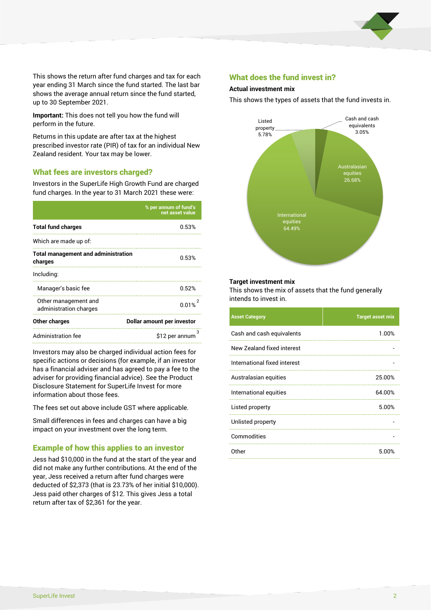

This shows the return after fund charges and tax for each year ending 31 March since the fund started. The last bar shows the average annual return since the fund started, up to 30 September 2021.

**Important:** This does not tell you how the fund will perform in the future.

Returns in this update are after tax at the highest prescribed investor rate (PIR) of tax for an individual New Zealand resident. Your tax may be lower.

# What fees are investors charged?

Investors in the SuperLife High Growth Fund are charged fund charges. In the year to 31 March 2021 these were:

|                                                       | % per annum of fund's<br>net asset value |  |  |
|-------------------------------------------------------|------------------------------------------|--|--|
| <b>Total fund charges</b>                             | 0.53%                                    |  |  |
| Which are made up of:                                 |                                          |  |  |
| <b>Total management and administration</b><br>charges | 0.53%                                    |  |  |
| Including:                                            |                                          |  |  |
| Manager's basic fee                                   | 0.52%                                    |  |  |
| Other management and<br>administration charges        | 0.01%                                    |  |  |
| Other charges                                         | Dollar amount per investor               |  |  |
| Administration fee                                    | 3<br>\$12 per annum                      |  |  |

Investors may also be charged individual action fees for specific actions or decisions (for example, if an investor has a financial adviser and has agreed to pay a fee to the adviser for providing financial advice). See the Product Disclosure Statement for SuperLife Invest for more information about those fees.

The fees set out above include GST where applicable.

Small differences in fees and charges can have a big impact on your investment over the long term.

# Example of how this applies to an investor

Jess had \$10,000 in the fund at the start of the year and did not make any further contributions. At the end of the year, Jess received a return after fund charges were deducted of \$2,373 (that is 23.73% of her initial \$10,000). Jess paid other charges of \$12. This gives Jess a total return after tax of \$2,361 for the year.

### What does the fund invest in?

#### **Actual investment mix**

This shows the types of assets that the fund invests in.



#### **Target investment mix**

This shows the mix of assets that the fund generally intends to invest in.

| <b>Asset Category</b>        | <b>Target asset mix</b> |
|------------------------------|-------------------------|
| Cash and cash equivalents    | 1.00%                   |
| New Zealand fixed interest   |                         |
| International fixed interest |                         |
| Australasian equities        | 25.00%                  |
| International equities       | 64.00%                  |
| Listed property              | 5.00%                   |
| Unlisted property            |                         |
| Commodities                  |                         |
| Other                        | 5.00%                   |